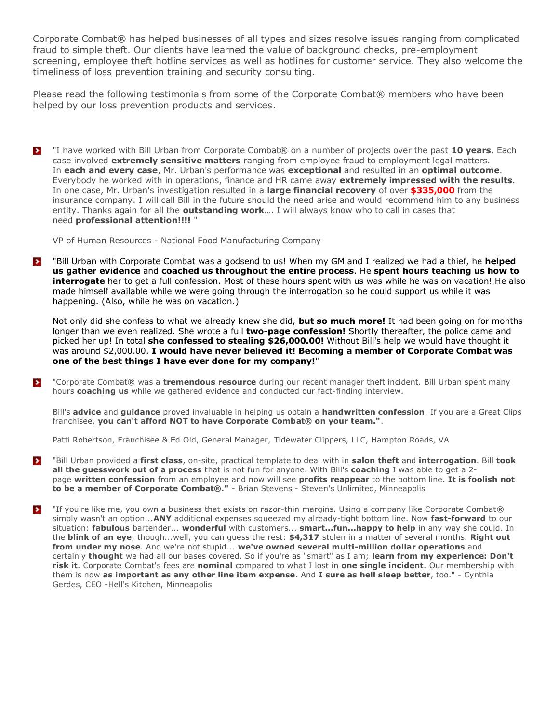Corporate Combat® has helped businesses of all types and sizes resolve issues ranging from complicated fraud to simple theft. Our clients have learned the value of background checks, pre-employment screening, employee theft hotline services as well as hotlines for customer service. They also welcome the timeliness of loss prevention training and security consulting.

Please read the following testimonials from some of the Corporate Combat® members who have been helped by our loss prevention products and services.

"I have worked with Bill Urban from Corporate Combat® on a number of projects over the past **10 years**. Each  $\rightarrow$ case involved **extremely sensitive matters** ranging from employee fraud to employment legal matters. In **each and every case**, Mr. Urban's performance was **exceptional** and resulted in an **optimal outcome**. Everybody he worked with in operations, finance and HR came away **extremely impressed with the results**. In one case, Mr. Urban's investigation resulted in a **large financial recovery** of over **\$335,000** from the insurance company. I will call Bill in the future should the need arise and would recommend him to any business entity. Thanks again for all the **outstanding work**…. I will always know who to call in cases that need **professional attention!!!!** "

VP of Human Resources - National Food Manufacturing Company

"Bill Urban with Corporate Combat was a godsend to us! When my GM and I realized we had a thief, he **helped**   $\rightarrow$ **us gather evidence** and **coached us throughout the entire process**. He **spent hours teaching us how to interrogate** her to get a full confession. Most of these hours spent with us was while he was on vacation! He also made himself available while we were going through the interrogation so he could support us while it was happening. (Also, while he was on vacation.)

Not only did she confess to what we already knew she did, **but so much more!** It had been going on for months longer than we even realized. She wrote a full **two-page confession!** Shortly thereafter, the police came and picked her up! In total **she confessed to stealing \$26,000.00!** Without Bill's help we would have thought it was around \$2,000.00. **I would have never believed it! Becoming a member of Corporate Combat was one of the best things I have ever done for my company!**"

"Corporate Combat® was a **tremendous resource** during our recent manager theft incident. Bill Urban spent many  $\blacktriangleright$ hours **coaching us** while we gathered evidence and conducted our fact-finding interview.

Bill's **advice** and **guidance** proved invaluable in helping us obtain a **handwritten confession**. If you are a Great Clips franchisee, **you can't afford NOT to have Corporate Combat® on your team."**.

Patti Robertson, Franchisee & Ed Old, General Manager, Tidewater Clippers, LLC, Hampton Roads, VA

- $\rightarrow$ "Bill Urban provided a **first class**, on-site, practical template to deal with in **salon theft** and **interrogation**. Bill **took all the guesswork out of a process** that is not fun for anyone. With Bill's **coaching** I was able to get a 2 page **written confession** from an employee and now will see **profits reappear** to the bottom line. **It is foolish not to be a member of Corporate Combat®."** - Brian Stevens - Steven's Unlimited, Minneapolis
- $\rightarrow$ "If you're like me, you own a business that exists on razor-thin margins. Using a company like Corporate Combat® simply wasn't an option...**ANY** additional expenses squeezed my already-tight bottom line. Now **fast-forward** to our situation: **fabulous** bartender... **wonderful** with customers... **smart...fun...happy to help** in any way she could. In the **blink of an eye**, though...well, you can guess the rest: **\$4,317** stolen in a matter of several months. **Right out from under my nose**. And we're not stupid... **we've owned several multi-million dollar operations** and certainly **thought** we had all our bases covered. So if you're as "smart" as I am; **learn from my experience: Don't risk it**. Corporate Combat's fees are **nominal** compared to what I lost in **one single incident**. Our membership with them is now **as important as any other line item expense**. And **I sure as hell sleep better**, too." - Cynthia Gerdes, CEO -Hell's Kitchen, Minneapolis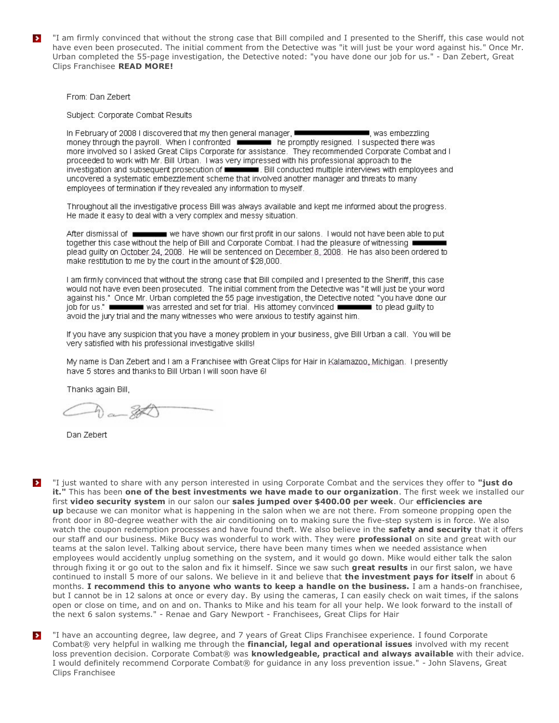"I am firmly convinced that without the strong case that Bill compiled and I presented to the Sheriff, this case would not  $\rightarrow$ have even been prosecuted. The initial comment from the Detective was "it will just be your word against his." Once Mr. Urban completed the 55-page investigation, the Detective noted: "you have done our job for us." - Dan Zebert, Great Clips Franchisee READ MORE!

From: Dan Zebert

Subject: Corporate Combat Results

In February of 2008 I discovered that my then general manager, ■ was embezzling money through the payroll. When I confronted **Example 20 and the promotiv** resigned. I suspected there was more involved so I asked Great Clips Corporate for assistance. They recommended Corporate Combat and I proceeded to work with Mr. Bill Urban. I was very impressed with his professional approach to the investigation and subsequent prosecution of **containers**. Bill conducted multiple interviews with employees and uncovered a systematic embezzlement scheme that involved another manager and threats to many employees of termination if they revealed any information to myself.

Throughout all the investigative process Bill was always available and kept me informed about the progress. He made it easy to deal with a very complex and messy situation.

After dismissal of **EXECUTE:** we have shown our first profit in our salons. I would not have been able to put together this case without the help of Bill and Corporate Combat. I had the pleasure of witnessing ■ plead guilty on October 24, 2008. He will be sentenced on December 8, 2008. He has also been ordered to make restitution to me by the court in the amount of \$28,000.

I am firmly convinced that without the strong case that Bill compiled and I presented to the Sheriff, this case would not have even been prosecuted. The initial comment from the Detective was "it will just be your word against his." Once Mr. Urban completed the 55 page investigation, the Detective noted: "you have done our job for us." **Interested** was arrested and set for trial. His attomey convinced to plead quilty to avoid the jury trial and the many witnesses who were anxious to testify against him.

If you have any suspicion that you have a money problem in your business, give Bill Urban a call. You will be very satisfied with his professional investigative skills!

My name is Dan Zebert and I am a Franchisee with Great Clips for Hair in Kalamazoo, Michigan. I presently have 5 stores and thanks to Bill Urban I will soon have 6!

Thanks again Bill,

 $a - 20$ 

Dan Zebert

 $\rightarrow$ 

"I just wanted to share with any person interested in using Corporate Combat and the services they offer to "just do it." This has been one of the best investments we have made to our organization. The first week we installed our first video security system in our salon our sales jumped over \$400.00 per week. Our efficiencies are up because we can monitor what is happening in the salon when we are not there. From someone propping open the front door in 80-degree weather with the air conditioning on to making sure the five-step system is in force. We also watch the coupon redemption processes and have found theft. We also believe in the safety and security that it offers our staff and our business. Mike Bucy was wonderful to work with. They were **professional** on site and great with our teams at the salon level. Talking about service, there have been many times when we needed assistance when employees would accidently unplug something on the system, and it would go down. Mike would either talk the salon through fixing it or go out to the salon and fix it himself. Since we saw such great results in our first salon, we have continued to install 5 more of our salons. We believe in it and believe that the investment pays for itself in about 6 months. I recommend this to anyone who wants to keep a handle on the business. I am a hands-on franchisee, but I cannot be in 12 salons at once or every day. By using the cameras, I can easily check on wait times, if the salons open or close on time, and on and on. Thanks to Mike and his team for all your help. We look forward to the install of the next 6 salon systems." - Renae and Gary Newport - Franchisees, Great Clips for Hair

"I have an accounting degree, law degree, and 7 years of Great Clips Franchisee experience. I found Corporate  $\rightarrow$ Combat® very helpful in walking me through the financial, legal and operational issues involved with my recent loss prevention decision. Corporate Combat® was knowledgeable, practical and always available with their advice. I would definitely recommend Corporate Combat® for quidance in any loss prevention issue." - John Slavens, Great Clips Franchisee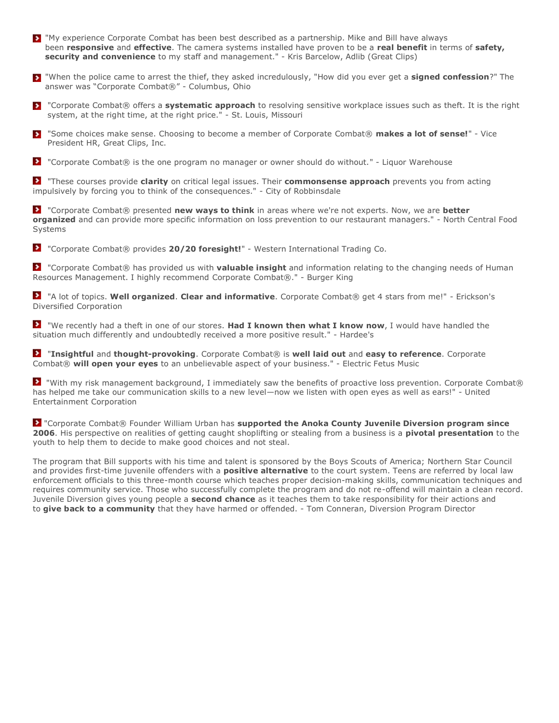- "My experience Corporate Combat has been best described as a partnership. Mike and Bill have always been **responsive** and **effective**. The camera systems installed have proven to be a **real benefit** in terms of **safety, security and convenience** to my staff and management." - Kris Barcelow, Adlib (Great Clips)
- "When the police came to arrest the thief, they asked incredulously, "How did you ever get a **signed confession**?" The answer was "Corporate Combat®" - Columbus, Ohio
- "Corporate Combat® offers a **systematic approach** to resolving sensitive workplace issues such as theft. It is the right system, at the right time, at the right price." - St. Louis, Missouri
- "Some choices make sense. Choosing to become a member of Corporate Combat® makes a lot of sense!" Vice  $\rightarrow$ President HR, Great Clips, Inc.
- **E** "Corporate Combat® is the one program no manager or owner should do without." Liguor Warehouse

"These courses provide **clarity** on critical legal issues. Their **commonsense approach** prevents you from acting impulsively by forcing you to think of the consequences." - City of Robbinsdale

"Corporate Combat® presented **new ways to think** in areas where we're not experts. Now, we are **better organized** and can provide more specific information on loss prevention to our restaurant managers." - North Central Food Systems

"Corporate Combat® provides **20/20 foresight!**" - Western International Trading Co.

"Corporate Combat® has provided us with **valuable insight** and information relating to the changing needs of Human Resources Management. I highly recommend Corporate Combat®." - Burger King

"A lot of topics. **Well organized**. **Clear and informative**. Corporate Combat® get 4 stars from me!" - Erickson's Diversified Corporation

"We recently had a theft in one of our stores. **Had I known then what I know now**, I would have handled the situation much differently and undoubtedly received a more positive result." - Hardee's

"**Insightful** and **thought-provoking**. Corporate Combat® is **well laid out** and **easy to reference**. Corporate Combat® **will open your eyes** to an unbelievable aspect of your business." - Electric Fetus Music

 "With my risk management background, I immediately saw the benefits of proactive loss prevention. Corporate Combat® has helped me take our communication skills to a new level—now we listen with open eyes as well as ears!" - United Entertainment Corporation

"Corporate Combat® Founder William Urban has **supported the Anoka County Juvenile Diversion program since 2006**. His perspective on realities of getting caught shoplifting or stealing from a business is a **pivotal presentation** to the youth to help them to decide to make good choices and not steal.

The program that Bill supports with his time and talent is sponsored by the Boys Scouts of America; Northern Star Council and provides first-time juvenile offenders with a **positive alternative** to the court system. Teens are referred by local law enforcement officials to this three-month course which teaches proper decision-making skills, communication techniques and requires community service. Those who successfully complete the program and do not re-offend will maintain a clean record. Juvenile Diversion gives young people a **second chance** as it teaches them to take responsibility for their actions and to **give back to a community** that they have harmed or offended. - Tom Conneran, Diversion Program Director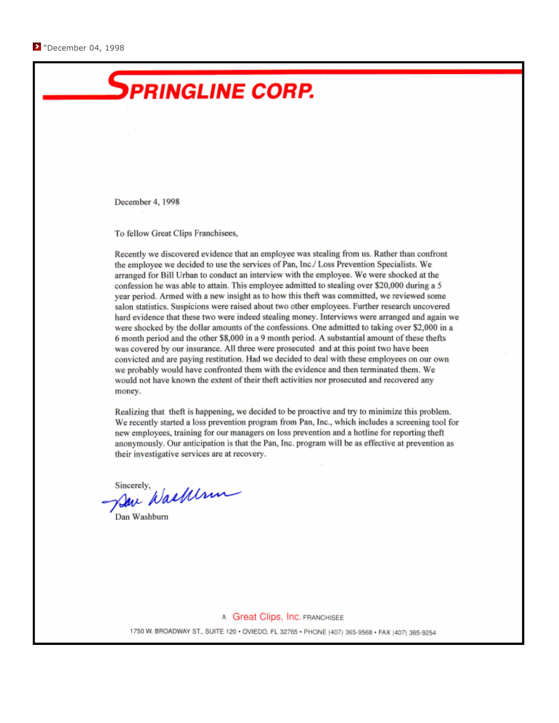

We recently started a loss prevention program from Pan, Inc., which includes a screening tool for new employees, training for our managers on loss prevention and a hotline for reporting theft anonymously. Our anticipation is that the Pan, Inc. program will be as effective at prevention as their investigative services are at recovery.

Save Waskelm Sincerely,

Dan Washburn

A Great Clips, Inc. FRANCHISEE

1750 W. BROADWAY ST., SUITE 120 · OVIEDO, FL 32765 · PHONE (407) 365-9568 · FAX (407) 365-9254